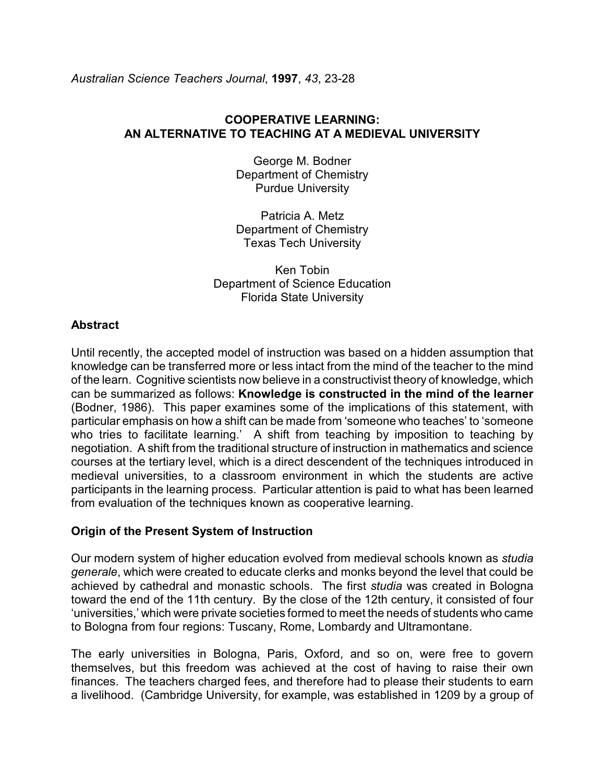*Australian Science Teachers Journal*, **1997**, *43*, 23-28

# **COOPERATIVE LEARNING: AN ALTERNATIVE TO TEACHING AT A MEDIEVAL UNIVERSITY**

George M. Bodner Department of Chemistry Purdue University

Patricia A. Metz Department of Chemistry Texas Tech University

Ken Tobin Department of Science Education Florida State University

# **Abstract**

Until recently, the accepted model of instruction was based on a hidden assumption that knowledge can be transferred more or less intact from the mind of the teacher to the mind of the learn. Cognitive scientists now believe in a constructivist theory of knowledge, which can be summarized as follows: **Knowledge is constructed in the mind of the learner** (Bodner, 1986). This paper examines some of the implications of this statement, with particular emphasis on how a shift can be made from 'someone who teaches' to 'someone who tries to facilitate learning.' A shift from teaching by imposition to teaching by negotiation. A shift from the traditional structure of instruction in mathematics and science courses at the tertiary level, which is a direct descendent of the techniques introduced in medieval universities, to a classroom environment in which the students are active participants in the learning process. Particular attention is paid to what has been learned from evaluation of the techniques known as cooperative learning.

## **Origin of the Present System of Instruction**

Our modern system of higher education evolved from medieval schools known as *studia generale*, which were created to educate clerks and monks beyond the level that could be achieved by cathedral and monastic schools. The first *studia* was created in Bologna toward the end of the 11th century. By the close of the 12th century, it consisted of four 'universities,' which were private societies formed to meet the needs of students who came to Bologna from four regions: Tuscany, Rome, Lombardy and Ultramontane.

The early universities in Bologna, Paris, Oxford, and so on, were free to govern themselves, but this freedom was achieved at the cost of having to raise their own finances. The teachers charged fees, and therefore had to please their students to earn a livelihood. (Cambridge University, for example, was established in 1209 by a group of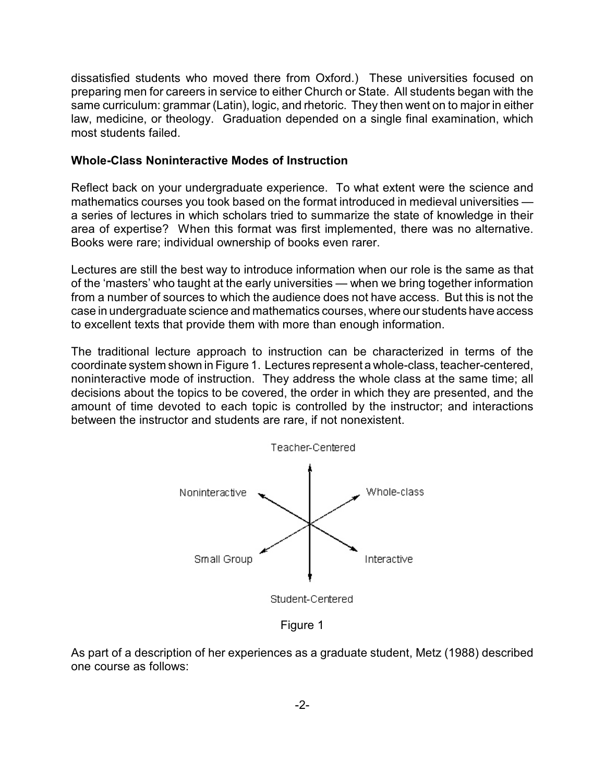dissatisfied students who moved there from Oxford.) These universities focused on preparing men for careers in service to either Church or State. All students began with the same curriculum: grammar (Latin), logic, and rhetoric. They then went on to major in either law, medicine, or theology. Graduation depended on a single final examination, which most students failed.

### **Whole-Class Noninteractive Modes of Instruction**

Reflect back on your undergraduate experience. To what extent were the science and mathematics courses you took based on the format introduced in medieval universities a series of lectures in which scholars tried to summarize the state of knowledge in their area of expertise? When this format was first implemented, there was no alternative. Books were rare; individual ownership of books even rarer.

Lectures are still the best way to introduce information when our role is the same as that of the 'masters' who taught at the early universities — when we bring together information from a number of sources to which the audience does not have access. But this is not the case in undergraduate science and mathematics courses, where our students have access to excellent texts that provide them with more than enough information.

The traditional lecture approach to instruction can be characterized in terms of the coordinate system shown in Figure 1. Lectures represent a whole-class, teacher-centered, noninteractive mode of instruction. They address the whole class at the same time; all decisions about the topics to be covered, the order in which they are presented, and the amount of time devoted to each topic is controlled by the instructor; and interactions between the instructor and students are rare, if not nonexistent.



Figure 1

As part of a description of her experiences as a graduate student, Metz (1988) described one course as follows: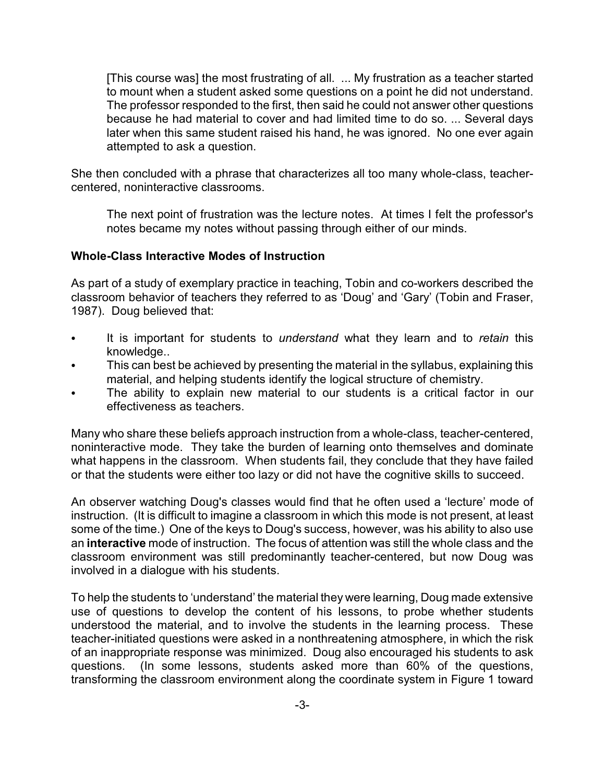[This course was] the most frustrating of all. ... My frustration as a teacher started to mount when a student asked some questions on a point he did not understand. The professor responded to the first, then said he could not answer other questions because he had material to cover and had limited time to do so. ... Several days later when this same student raised his hand, he was ignored. No one ever again attempted to ask a question.

She then concluded with a phrase that characterizes all too many whole-class, teachercentered, noninteractive classrooms.

The next point of frustration was the lecture notes. At times I felt the professor's notes became my notes without passing through either of our minds.

## **Whole-Class Interactive Modes of Instruction**

As part of a study of exemplary practice in teaching, Tobin and co-workers described the classroom behavior of teachers they referred to as 'Doug' and 'Gary' (Tobin and Fraser, 1987). Doug believed that:

- It is important for students to *understand* what they learn and to *retain* this knowledge..
- This can best be achieved by presenting the material in the syllabus, explaining this material, and helping students identify the logical structure of chemistry.
- The ability to explain new material to our students is a critical factor in our effectiveness as teachers.

Many who share these beliefs approach instruction from a whole-class, teacher-centered, noninteractive mode. They take the burden of learning onto themselves and dominate what happens in the classroom. When students fail, they conclude that they have failed or that the students were either too lazy or did not have the cognitive skills to succeed.

An observer watching Doug's classes would find that he often used a 'lecture' mode of instruction. (It is difficult to imagine a classroom in which this mode is not present, at least some of the time.) One of the keys to Doug's success, however, was his ability to also use an **interactive** mode of instruction. The focus of attention was still the whole class and the classroom environment was still predominantly teacher-centered, but now Doug was involved in a dialogue with his students.

To help the students to 'understand' the material they were learning, Doug made extensive use of questions to develop the content of his lessons, to probe whether students understood the material, and to involve the students in the learning process. These teacher-initiated questions were asked in a nonthreatening atmosphere, in which the risk of an inappropriate response was minimized. Doug also encouraged his students to ask questions. (In some lessons, students asked more than 60% of the questions, transforming the classroom environment along the coordinate system in Figure 1 toward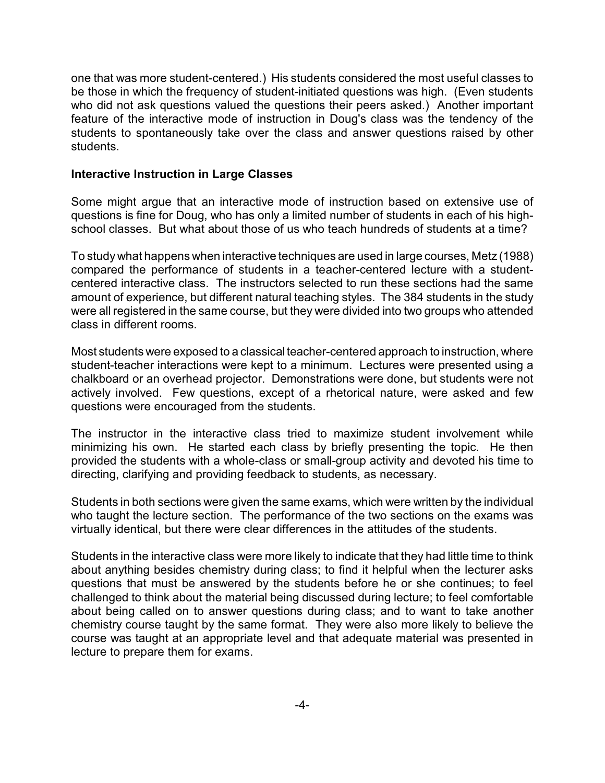one that was more student-centered.) His students considered the most useful classes to be those in which the frequency of student-initiated questions was high. (Even students who did not ask questions valued the questions their peers asked.) Another important feature of the interactive mode of instruction in Doug's class was the tendency of the students to spontaneously take over the class and answer questions raised by other students.

### **Interactive Instruction in Large Classes**

Some might argue that an interactive mode of instruction based on extensive use of questions is fine for Doug, who has only a limited number of students in each of his highschool classes. But what about those of us who teach hundreds of students at a time?

To study what happens when interactive techniques are used in large courses, Metz (1988) compared the performance of students in a teacher-centered lecture with a studentcentered interactive class. The instructors selected to run these sections had the same amount of experience, but different natural teaching styles. The 384 students in the study were all registered in the same course, but they were divided into two groups who attended class in different rooms.

Most students were exposed to a classical teacher-centered approach to instruction, where student-teacher interactions were kept to a minimum. Lectures were presented using a chalkboard or an overhead projector. Demonstrations were done, but students were not actively involved. Few questions, except of a rhetorical nature, were asked and few questions were encouraged from the students.

The instructor in the interactive class tried to maximize student involvement while minimizing his own. He started each class by briefly presenting the topic. He then provided the students with a whole-class or small-group activity and devoted his time to directing, clarifying and providing feedback to students, as necessary.

Students in both sections were given the same exams, which were written by the individual who taught the lecture section. The performance of the two sections on the exams was virtually identical, but there were clear differences in the attitudes of the students.

Students in the interactive class were more likely to indicate that they had little time to think about anything besides chemistry during class; to find it helpful when the lecturer asks questions that must be answered by the students before he or she continues; to feel challenged to think about the material being discussed during lecture; to feel comfortable about being called on to answer questions during class; and to want to take another chemistry course taught by the same format. They were also more likely to believe the course was taught at an appropriate level and that adequate material was presented in lecture to prepare them for exams.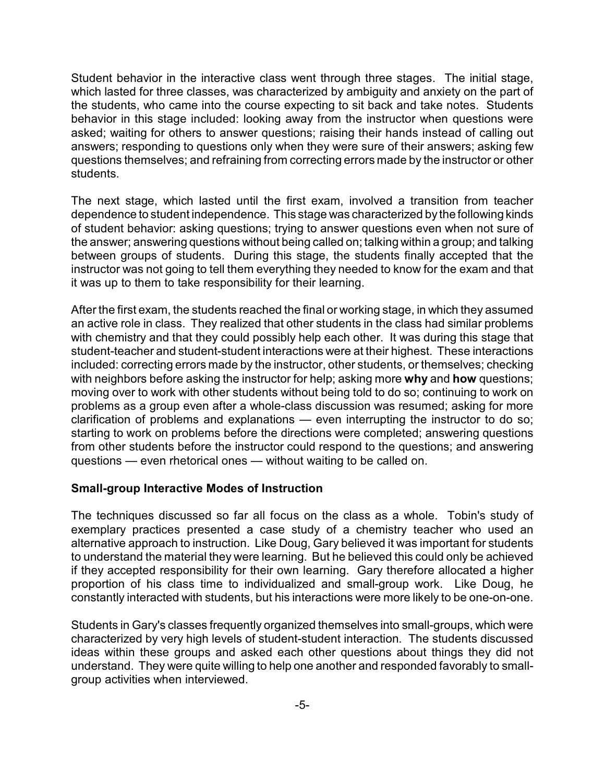Student behavior in the interactive class went through three stages. The initial stage, which lasted for three classes, was characterized by ambiguity and anxiety on the part of the students, who came into the course expecting to sit back and take notes. Students behavior in this stage included: looking away from the instructor when questions were asked; waiting for others to answer questions; raising their hands instead of calling out answers; responding to questions only when they were sure of their answers; asking few questions themselves; and refraining from correcting errors made by the instructor or other students.

The next stage, which lasted until the first exam, involved a transition from teacher dependence to student independence. This stage was characterized by the following kinds of student behavior: asking questions; trying to answer questions even when not sure of the answer; answering questions without being called on; talking within a group; and talking between groups of students. During this stage, the students finally accepted that the instructor was not going to tell them everything they needed to know for the exam and that it was up to them to take responsibility for their learning.

After the first exam, the students reached the final or working stage, in which they assumed an active role in class. They realized that other students in the class had similar problems with chemistry and that they could possibly help each other. It was during this stage that student-teacher and student-student interactions were at their highest. These interactions included: correcting errors made by the instructor, other students, or themselves; checking with neighbors before asking the instructor for help; asking more **why** and **how** questions; moving over to work with other students without being told to do so; continuing to work on problems as a group even after a whole-class discussion was resumed; asking for more clarification of problems and explanations — even interrupting the instructor to do so; starting to work on problems before the directions were completed; answering questions from other students before the instructor could respond to the questions; and answering questions — even rhetorical ones — without waiting to be called on.

# **Small-group Interactive Modes of Instruction**

The techniques discussed so far all focus on the class as a whole. Tobin's study of exemplary practices presented a case study of a chemistry teacher who used an alternative approach to instruction. Like Doug, Gary believed it was important for students to understand the material they were learning. But he believed this could only be achieved if they accepted responsibility for their own learning. Gary therefore allocated a higher proportion of his class time to individualized and small-group work. Like Doug, he constantly interacted with students, but his interactions were more likely to be one-on-one.

Students in Gary's classes frequently organized themselves into small-groups, which were characterized by very high levels of student-student interaction. The students discussed ideas within these groups and asked each other questions about things they did not understand. They were quite willing to help one another and responded favorably to smallgroup activities when interviewed.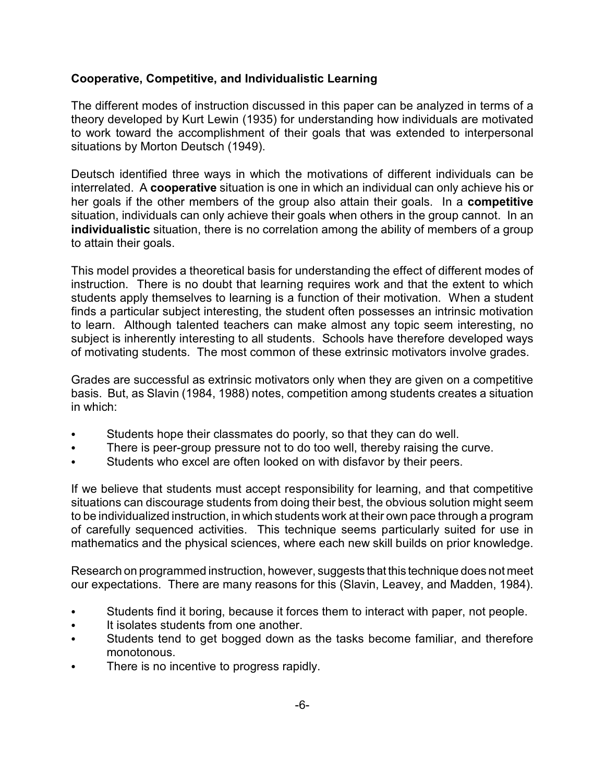# **Cooperative, Competitive, and Individualistic Learning**

The different modes of instruction discussed in this paper can be analyzed in terms of a theory developed by Kurt Lewin (1935) for understanding how individuals are motivated to work toward the accomplishment of their goals that was extended to interpersonal situations by Morton Deutsch (1949).

Deutsch identified three ways in which the motivations of different individuals can be interrelated. A **cooperative** situation is one in which an individual can only achieve his or her goals if the other members of the group also attain their goals. In a **competitive** situation, individuals can only achieve their goals when others in the group cannot. In an **individualistic** situation, there is no correlation among the ability of members of a group to attain their goals.

This model provides a theoretical basis for understanding the effect of different modes of instruction. There is no doubt that learning requires work and that the extent to which students apply themselves to learning is a function of their motivation. When a student finds a particular subject interesting, the student often possesses an intrinsic motivation to learn. Although talented teachers can make almost any topic seem interesting, no subject is inherently interesting to all students. Schools have therefore developed ways of motivating students. The most common of these extrinsic motivators involve grades.

Grades are successful as extrinsic motivators only when they are given on a competitive basis. But, as Slavin (1984, 1988) notes, competition among students creates a situation in which:

- Students hope their classmates do poorly, so that they can do well.
- There is peer-group pressure not to do too well, thereby raising the curve.
- Students who excel are often looked on with disfavor by their peers.

If we believe that students must accept responsibility for learning, and that competitive situations can discourage students from doing their best, the obvious solution might seem to be individualized instruction, in which students work at their own pace through a program of carefully sequenced activities. This technique seems particularly suited for use in mathematics and the physical sciences, where each new skill builds on prior knowledge.

Research on programmed instruction, however, suggests that this technique does not meet our expectations. There are many reasons for this (Slavin, Leavey, and Madden, 1984).

- Students find it boring, because it forces them to interact with paper, not people.
- It isolates students from one another.
- Students tend to get bogged down as the tasks become familiar, and therefore monotonous.
- There is no incentive to progress rapidly.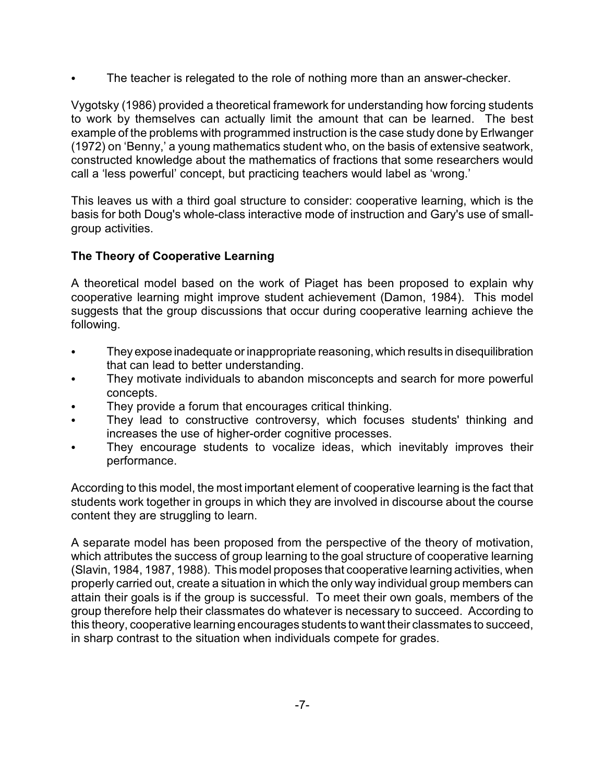The teacher is relegated to the role of nothing more than an answer-checker.

Vygotsky (1986) provided a theoretical framework for understanding how forcing students to work by themselves can actually limit the amount that can be learned. The best example of the problems with programmed instruction is the case study done by Erlwanger (1972) on 'Benny,' a young mathematics student who, on the basis of extensive seatwork, constructed knowledge about the mathematics of fractions that some researchers would call a 'less powerful' concept, but practicing teachers would label as 'wrong.'

This leaves us with a third goal structure to consider: cooperative learning, which is the basis for both Doug's whole-class interactive mode of instruction and Gary's use of smallgroup activities.

# **The Theory of Cooperative Learning**

A theoretical model based on the work of Piaget has been proposed to explain why cooperative learning might improve student achievement (Damon, 1984). This model suggests that the group discussions that occur during cooperative learning achieve the following.

- They expose inadequate or inappropriate reasoning, which results in disequilibration that can lead to better understanding.
- They motivate individuals to abandon misconcepts and search for more powerful concepts.
- They provide a forum that encourages critical thinking.
- They lead to constructive controversy, which focuses students' thinking and increases the use of higher-order cognitive processes.
- They encourage students to vocalize ideas, which inevitably improves their performance.

According to this model, the most important element of cooperative learning is the fact that students work together in groups in which they are involved in discourse about the course content they are struggling to learn.

A separate model has been proposed from the perspective of the theory of motivation, which attributes the success of group learning to the goal structure of cooperative learning (Slavin, 1984, 1987, 1988). This model proposes that cooperative learning activities, when properly carried out, create a situation in which the only way individual group members can attain their goals is if the group is successful. To meet their own goals, members of the group therefore help their classmates do whatever is necessary to succeed. According to this theory, cooperative learning encourages students to want their classmates to succeed, in sharp contrast to the situation when individuals compete for grades.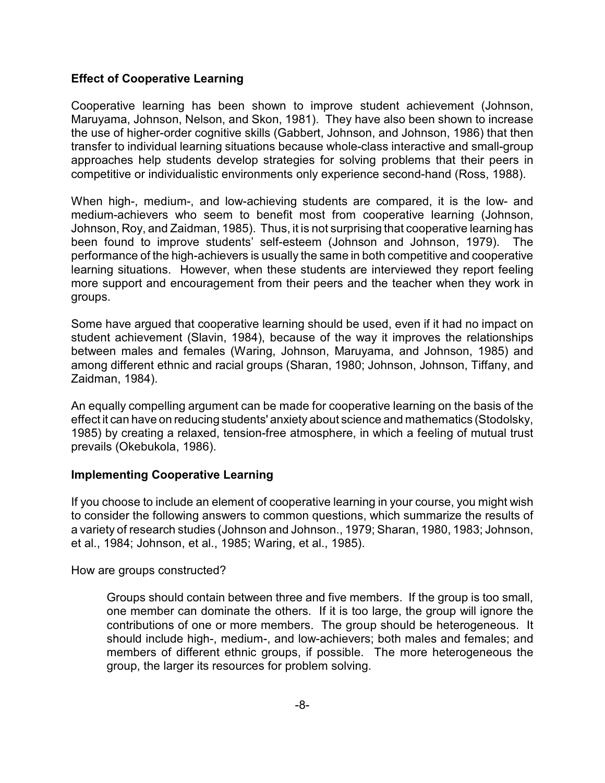### **Effect of Cooperative Learning**

Cooperative learning has been shown to improve student achievement (Johnson, Maruyama, Johnson, Nelson, and Skon, 1981). They have also been shown to increase the use of higher-order cognitive skills (Gabbert, Johnson, and Johnson, 1986) that then transfer to individual learning situations because whole-class interactive and small-group approaches help students develop strategies for solving problems that their peers in competitive or individualistic environments only experience second-hand (Ross, 1988).

When high-, medium-, and low-achieving students are compared, it is the low- and medium-achievers who seem to benefit most from cooperative learning (Johnson, Johnson, Roy, and Zaidman, 1985). Thus, it is not surprising that cooperative learning has been found to improve students' self-esteem (Johnson and Johnson, 1979). The performance of the high-achievers is usually the same in both competitive and cooperative learning situations. However, when these students are interviewed they report feeling more support and encouragement from their peers and the teacher when they work in groups.

Some have argued that cooperative learning should be used, even if it had no impact on student achievement (Slavin, 1984), because of the way it improves the relationships between males and females (Waring, Johnson, Maruyama, and Johnson, 1985) and among different ethnic and racial groups (Sharan, 1980; Johnson, Johnson, Tiffany, and Zaidman, 1984).

An equally compelling argument can be made for cooperative learning on the basis of the effect it can have on reducing students' anxiety about science and mathematics (Stodolsky, 1985) by creating a relaxed, tension-free atmosphere, in which a feeling of mutual trust prevails (Okebukola, 1986).

## **Implementing Cooperative Learning**

If you choose to include an element of cooperative learning in your course, you might wish to consider the following answers to common questions, which summarize the results of a variety of research studies (Johnson and Johnson., 1979; Sharan, 1980, 1983; Johnson, et al., 1984; Johnson, et al., 1985; Waring, et al., 1985).

How are groups constructed?

Groups should contain between three and five members. If the group is too small, one member can dominate the others. If it is too large, the group will ignore the contributions of one or more members. The group should be heterogeneous. It should include high-, medium-, and low-achievers; both males and females; and members of different ethnic groups, if possible. The more heterogeneous the group, the larger its resources for problem solving.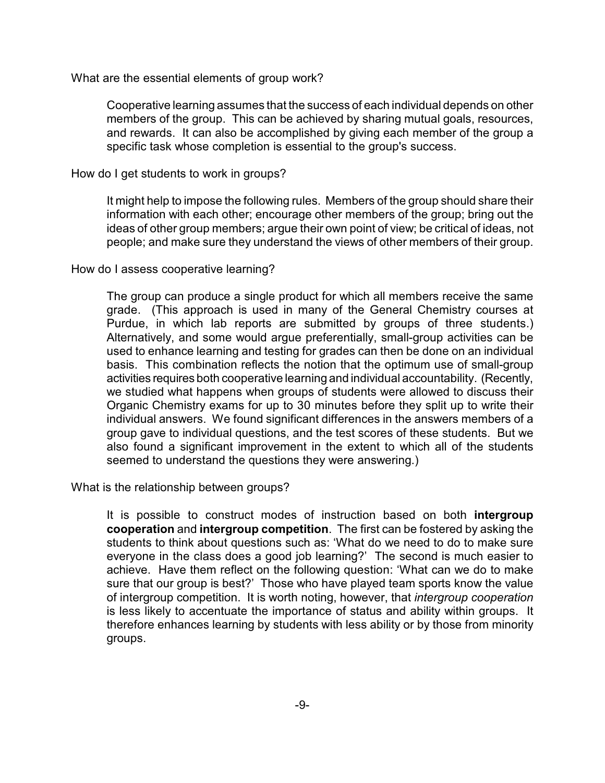What are the essential elements of group work?

Cooperative learning assumes that the success of each individual depends on other members of the group. This can be achieved by sharing mutual goals, resources, and rewards. It can also be accomplished by giving each member of the group a specific task whose completion is essential to the group's success.

### How do I get students to work in groups?

It might help to impose the following rules. Members of the group should share their information with each other; encourage other members of the group; bring out the ideas of other group members; argue their own point of view; be critical of ideas, not people; and make sure they understand the views of other members of their group.

### How do I assess cooperative learning?

The group can produce a single product for which all members receive the same grade. (This approach is used in many of the General Chemistry courses at Purdue, in which lab reports are submitted by groups of three students.) Alternatively, and some would argue preferentially, small-group activities can be used to enhance learning and testing for grades can then be done on an individual basis. This combination reflects the notion that the optimum use of small-group activities requires both cooperative learning and individual accountability. (Recently, we studied what happens when groups of students were allowed to discuss their Organic Chemistry exams for up to 30 minutes before they split up to write their individual answers. We found significant differences in the answers members of a group gave to individual questions, and the test scores of these students. But we also found a significant improvement in the extent to which all of the students seemed to understand the questions they were answering.)

What is the relationship between groups?

It is possible to construct modes of instruction based on both **intergroup cooperation** and **intergroup competition**. The first can be fostered by asking the students to think about questions such as: 'What do we need to do to make sure everyone in the class does a good job learning?' The second is much easier to achieve. Have them reflect on the following question: 'What can we do to make sure that our group is best?' Those who have played team sports know the value of intergroup competition. It is worth noting, however, that *intergroup cooperation* is less likely to accentuate the importance of status and ability within groups. It therefore enhances learning by students with less ability or by those from minority groups.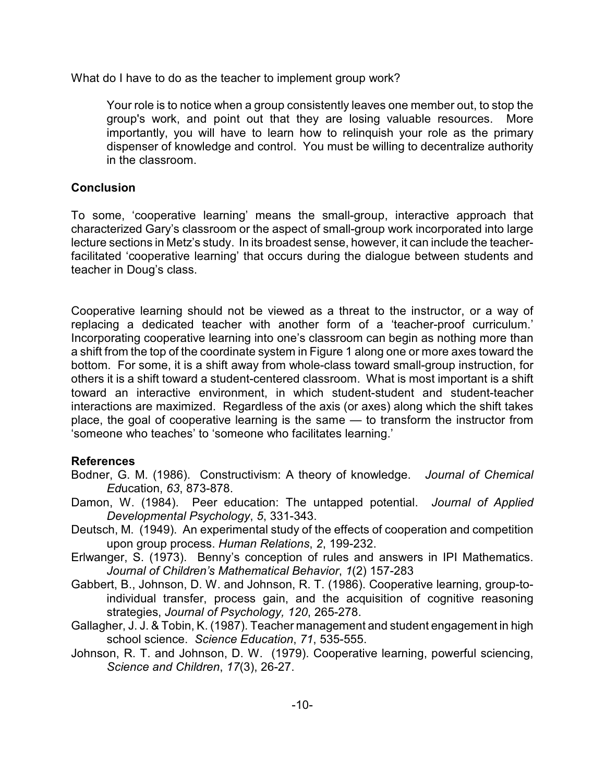What do I have to do as the teacher to implement group work?

Your role is to notice when a group consistently leaves one member out, to stop the group's work, and point out that they are losing valuable resources. More importantly, you will have to learn how to relinquish your role as the primary dispenser of knowledge and control. You must be willing to decentralize authority in the classroom.

# **Conclusion**

To some, 'cooperative learning' means the small-group, interactive approach that characterized Gary's classroom or the aspect of small-group work incorporated into large lecture sections in Metz's study. In its broadest sense, however, it can include the teacherfacilitated 'cooperative learning' that occurs during the dialogue between students and teacher in Doug's class.

Cooperative learning should not be viewed as a threat to the instructor, or a way of replacing a dedicated teacher with another form of a 'teacher-proof curriculum.' Incorporating cooperative learning into one's classroom can begin as nothing more than a shift from the top of the coordinate system in Figure 1 along one or more axes toward the bottom. For some, it is a shift away from whole-class toward small-group instruction, for others it is a shift toward a student-centered classroom. What is most important is a shift toward an interactive environment, in which student-student and student-teacher interactions are maximized. Regardless of the axis (or axes) along which the shift takes place, the goal of cooperative learning is the same — to transform the instructor from 'someone who teaches' to 'someone who facilitates learning.'

## **References**

- Bodner, G. M. (1986). Constructivism: A theory of knowledge. *Journal of Chemical Ed*ucation, *63*, 873-878.
- Damon, W. (1984). Peer education: The untapped potential. *Journal of Applied Developmental Psychology*, *5*, 331-343.
- Deutsch, M. (1949). An experimental study of the effects of cooperation and competition upon group process. *Human Relations*, *2*, 199-232.
- Erlwanger, S. (1973). Benny's conception of rules and answers in IPI Mathematics. *Journal of Children's Mathematical Behavior*, *1*(2) 157-283
- Gabbert, B., Johnson, D. W. and Johnson, R. T. (1986). Cooperative learning, group-toindividual transfer, process gain, and the acquisition of cognitive reasoning strategies, *Journal of Psychology, 120*, 265-278.
- Gallagher, J. J. & Tobin, K. (1987). Teacher management and student engagement in high school science. *Science Education*, *71*, 535-555.
- Johnson, R. T. and Johnson, D. W. (1979). Cooperative learning, powerful sciencing, *Science and Children*, *17*(3), 26-27.